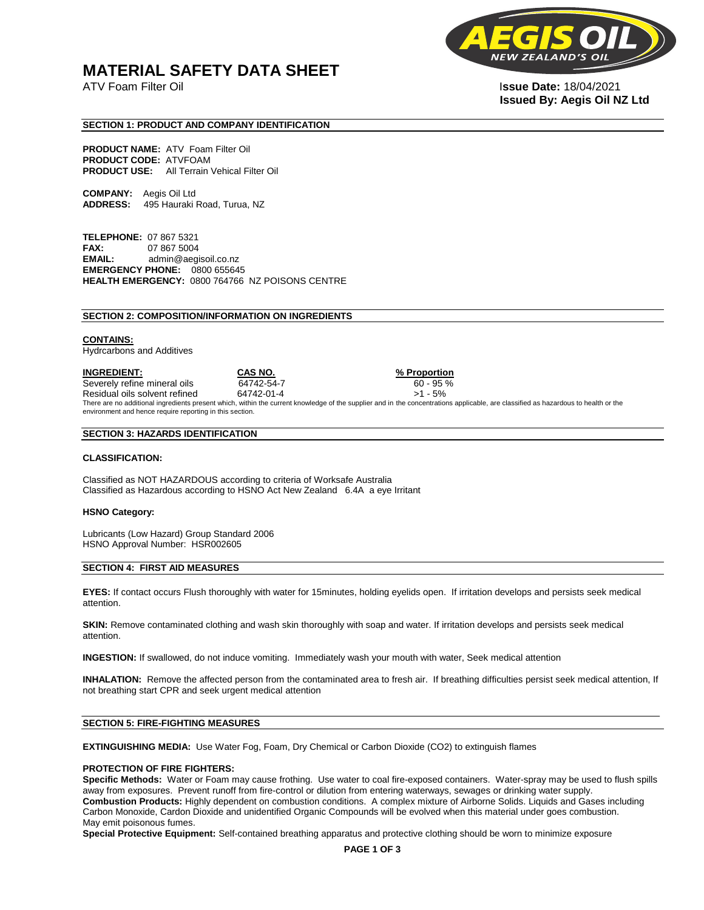# **MATERIAL SAFETY DATA SHEET**

**NEW** 

ATV Foam Filter Oil I**ssue Date:** 18/04/2021 **Issued By: Aegis Oil NZ Ltd** 

## **SECTION 1: PRODUCT AND COMPANY IDENTIFICATION**

**PRODUCT NAME:** ATV Foam Filter Oil **PRODUCT CODE:** ATVFOAM **PRODUCT USE:** All Terrain Vehical Filter Oil

**COMPANY:** Aegis Oil Ltd **ADDRESS:** 495 Hauraki Road, Turua, NZ

**TELEPHONE:** 07 867 5321 **FAX:** 07 867 5004 **EMAIL:** admin@aegisoil.co.nz **EMERGENCY PHONE:** 0800 655645 **HEALTH EMERGENCY:** 0800 764766 NZ POISONS CENTRE

#### **SECTION 2: COMPOSITION/INFORMATION ON INGREDIENTS**

#### **CONTAINS:**

Hydrcarbons and Additives

**INGREDIENT: CAS NO. % Proportion**  Severely refine mineral oils 64742-54-7 60 - 95 % Residual oils solvent refined 64742-01-4  $>1 - 5\%$ There are no additional ingredients present which, within the current knowledge of the supplier and in the concentrations applicable, are classified as hazardous to health or the environment and hence require reporting in this section.

#### **SECTION 3: HAZARDS IDENTIFICATION**

#### **CLASSIFICATION:**

Classified as NOT HAZARDOUS according to criteria of Worksafe Australia Classified as Hazardous according to HSNO Act New Zealand 6.4A a eye Irritant

#### **HSNO Category:**

Lubricants (Low Hazard) Group Standard 2006 HSNO Approval Number: HSR002605

## **SECTION 4: FIRST AID MEASURES**

**EYES:** If contact occurs Flush thoroughly with water for 15minutes, holding eyelids open. If irritation develops and persists seek medical attention.

**SKIN:** Remove contaminated clothing and wash skin thoroughly with soap and water. If irritation develops and persists seek medical attention.

**INGESTION:** If swallowed, do not induce vomiting. Immediately wash your mouth with water, Seek medical attention

**INHALATION:** Remove the affected person from the contaminated area to fresh air. If breathing difficulties persist seek medical attention, If not breathing start CPR and seek urgent medical attention

# **SECTION 5: FIRE-FIGHTING MEASURES**

**EXTINGUISHING MEDIA:** Use Water Fog, Foam, Dry Chemical or Carbon Dioxide (CO2) to extinguish flames

#### **PROTECTION OF FIRE FIGHTERS:**

**Specific Methods:** Water or Foam may cause frothing. Use water to coal fire-exposed containers. Water-spray may be used to flush spills away from exposures. Prevent runoff from fire-control or dilution from entering waterways, sewages or drinking water supply. **Combustion Products:** Highly dependent on combustion conditions. A complex mixture of Airborne Solids. Liquids and Gases including Carbon Monoxide, Cardon Dioxide and unidentified Organic Compounds will be evolved when this material under goes combustion. May emit poisonous fumes.

**Special Protective Equipment:** Self-contained breathing apparatus and protective clothing should be worn to minimize exposure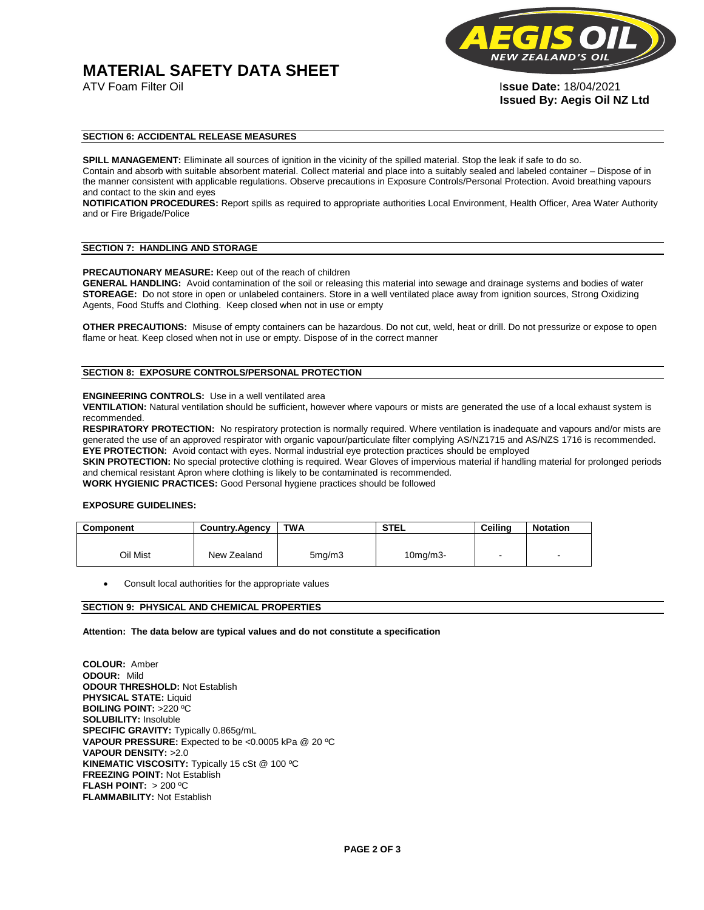# **MATERIAL SAFETY DATA SHEET**



ATV Foam Filter Oil I**ssue Date:** 18/04/2021 **Issued By: Aegis Oil NZ Ltd** 

# **SECTION 6: ACCIDENTAL RELEASE MEASURES**

**SPILL MANAGEMENT:** Eliminate all sources of ignition in the vicinity of the spilled material. Stop the leak if safe to do so. Contain and absorb with suitable absorbent material. Collect material and place into a suitably sealed and labeled container – Dispose of in the manner consistent with applicable regulations. Observe precautions in Exposure Controls/Personal Protection. Avoid breathing vapours and contact to the skin and eyes

**NOTIFICATION PROCEDURES:** Report spills as required to appropriate authorities Local Environment, Health Officer, Area Water Authority and or Fire Brigade/Police

## **SECTION 7: HANDLING AND STORAGE**

**PRECAUTIONARY MEASURE:** Keep out of the reach of children

**GENERAL HANDLING:** Avoid contamination of the soil or releasing this material into sewage and drainage systems and bodies of water **STOREAGE:** Do not store in open or unlabeled containers. Store in a well ventilated place away from ignition sources, Strong Oxidizing Agents, Food Stuffs and Clothing. Keep closed when not in use or empty

**OTHER PRECAUTIONS:** Misuse of empty containers can be hazardous. Do not cut, weld, heat or drill. Do not pressurize or expose to open flame or heat. Keep closed when not in use or empty. Dispose of in the correct manner

# **SECTION 8: EXPOSURE CONTROLS/PERSONAL PROTECTION**

#### **ENGINEERING CONTROLS:** Use in a well ventilated area

**VENTILATION:** Natural ventilation should be sufficient**,** however where vapours or mists are generated the use of a local exhaust system is recommended.

**RESPIRATORY PROTECTION:** No respiratory protection is normally required. Where ventilation is inadequate and vapours and/or mists are generated the use of an approved respirator with organic vapour/particulate filter complying AS/NZ1715 and AS/NZS 1716 is recommended. **EYE PROTECTION:** Avoid contact with eyes. Normal industrial eye protection practices should be employed

**SKIN PROTECTION:** No special protective clothing is required. Wear Gloves of impervious material if handling material for prolonged periods and chemical resistant Apron where clothing is likely to be contaminated is recommended.

**WORK HYGIENIC PRACTICES:** Good Personal hygiene practices should be followed

# **EXPOSURE GUIDELINES:**

| <b>Component</b> | <b>Country.Agency</b> | <b>TWA</b>          | <b>STEL</b>    | Ceilina | <b>Notation</b>          |
|------------------|-----------------------|---------------------|----------------|---------|--------------------------|
|                  |                       |                     |                |         |                          |
| Oil Mist         | New Zealand           | 5 <sub>mq</sub> /m3 | $10$ mg/m $3-$ |         | $\overline{\phantom{a}}$ |

Consult local authorities for the appropriate values

# **SECTION 9: PHYSICAL AND CHEMICAL PROPERTIES**

**Attention: The data below are typical values and do not constitute a specification** 

**COLOUR:** Amber **ODOUR:** Mild **ODOUR THRESHOLD:** Not Establish **PHYSICAL STATE:** Liquid **BOILING POINT:** >220 ºC **SOLUBILITY:** Insoluble **SPECIFIC GRAVITY:** Typically 0.865g/mL **VAPOUR PRESSURE:** Expected to be <0.0005 kPa @ 20 ºC **VAPOUR DENSITY:** >2.0 **KINEMATIC VISCOSITY:** Typically 15 cSt @ 100 ºC **FREEZING POINT: Not Establish FLASH POINT:** > 200 ºC **FLAMMABILITY:** Not Establish